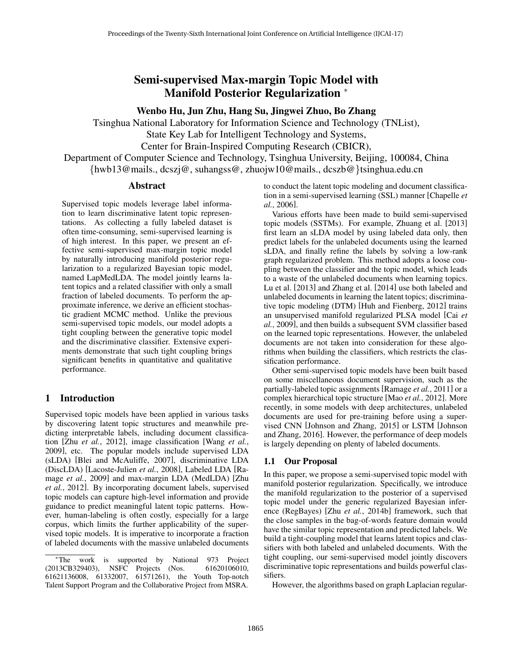# Semi-supervised Max-margin Topic Model with Manifold Posterior Regularization <sup>∗</sup>

# Wenbo Hu, Jun Zhu, Hang Su, Jingwei Zhuo, Bo Zhang

Tsinghua National Laboratory for Information Science and Technology (TNList),

State Key Lab for Intelligent Technology and Systems,

Center for Brain-Inspired Computing Research (CBICR),

Department of Computer Science and Technology, Tsinghua University, Beijing, 100084, China {hwb13@mails., dcszj@, suhangss@, zhuojw10@mails., dcszb@}tsinghua.edu.cn

### Abstract

Supervised topic models leverage label information to learn discriminative latent topic representations. As collecting a fully labeled dataset is often time-consuming, semi-supervised learning is of high interest. In this paper, we present an effective semi-supervised max-margin topic model by naturally introducing manifold posterior regularization to a regularized Bayesian topic model, named LapMedLDA. The model jointly learns latent topics and a related classifier with only a small fraction of labeled documents. To perform the approximate inference, we derive an efficient stochastic gradient MCMC method. Unlike the previous semi-supervised topic models, our model adopts a tight coupling between the generative topic model and the discriminative classifier. Extensive experiments demonstrate that such tight coupling brings significant benefits in quantitative and qualitative performance.

# 1 Introduction

Supervised topic models have been applied in various tasks by discovering latent topic structures and meanwhile predicting interpretable labels, including document classification [Zhu *et al.*, 2012], image classification [Wang *et al.*, 2009], etc. The popular models include supervised LDA (sLDA) [Blei and McAuliffe, 2007], discriminative LDA (DiscLDA) [Lacoste-Julien *et al.*, 2008], Labeled LDA [Ramage *et al.*, 2009] and max-margin LDA (MedLDA) [Zhu *et al.*, 2012]. By incorporating document labels, supervised topic models can capture high-level information and provide guidance to predict meaningful latent topic patterns. However, human-labeling is often costly, especially for a large corpus, which limits the further applicability of the supervised topic models. It is imperative to incorporate a fraction of labeled documents with the massive unlabeled documents to conduct the latent topic modeling and document classification in a semi-supervised learning (SSL) manner [Chapelle *et al.*, 2006].

Various efforts have been made to build semi-supervised topic models (SSTMs). For example, Zhuang et al. [2013] first learn an sLDA model by using labeled data only, then predict labels for the unlabeled documents using the learned sLDA, and finally refine the labels by solving a low-rank graph regularized problem. This method adopts a loose coupling between the classifier and the topic model, which leads to a waste of the unlabeled documents when learning topics. Lu et al. [2013] and Zhang et al. [2014] use both labeled and unlabeled documents in learning the latent topics; discriminative topic modeling (DTM) [Huh and Fienberg, 2012] trains an unsupervised manifold regularized PLSA model [Cai *et al.*, 2009], and then builds a subsequent SVM classifier based on the learned topic representations. However, the unlabeled documents are not taken into consideration for these algorithms when building the classifiers, which restricts the classification performance.

Other semi-supervised topic models have been built based on some miscellaneous document supervision, such as the partially-labeled topic assignments [Ramage *et al.*, 2011] or a complex hierarchical topic structure [Mao *et al.*, 2012]. More recently, in some models with deep architectures, unlabeled documents are used for pre-training before using a supervised CNN [Johnson and Zhang, 2015] or LSTM [Johnson and Zhang, 2016]. However, the performance of deep models is largely depending on plenty of labeled documents.

# 1.1 Our Proposal

In this paper, we propose a semi-supervised topic model with manifold posterior regularization. Specifically, we introduce the manifold regularization to the posterior of a supervised topic model under the generic regularized Bayesian inference (RegBayes) [Zhu *et al.*, 2014b] framework, such that the close samples in the bag-of-words feature domain would have the similar topic representation and predicted labels. We build a tight-coupling model that learns latent topics and classifiers with both labeled and unlabeled documents. With the tight coupling, our semi-supervised model jointly discovers discriminative topic representations and builds powerful classifiers.

However, the algorithms based on graph Laplacian regular-

<sup>∗</sup>The work is supported by National 973 Project (2013CB329403), NSFC Projects (Nos. 61621136008, 61332007, 61571261), the Youth Top-notch Talent Support Program and the Collaborative Project from MSRA.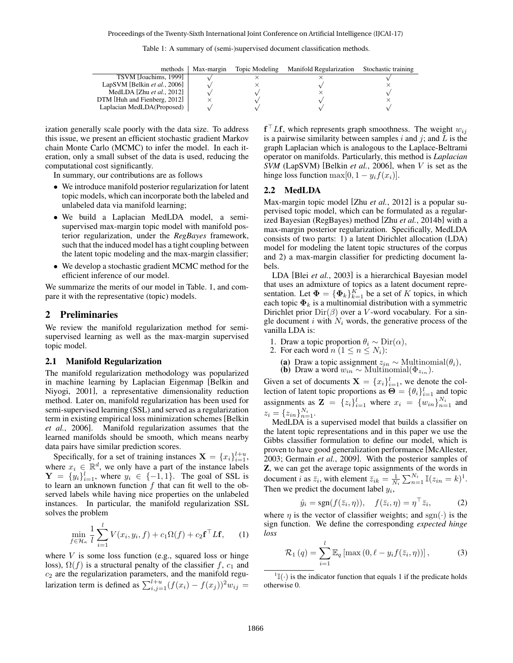| methods                      | Max-margin | Topic Modeling | Manifold Regularization | Stochastic training |
|------------------------------|------------|----------------|-------------------------|---------------------|
| TSVM [Joachims, 1999]        |            |                |                         |                     |
| LapSVM [Belkin et al., 2006] |            |                |                         |                     |
| MedLDA [Zhu et al., $2012$ ] |            |                |                         |                     |
| DTM [Huh and Fienberg, 2012] |            |                |                         |                     |
| Laplacian MedLDA(Proposed)   |            |                |                         |                     |

ization generally scale poorly with the data size. To address this issue, we present an efficient stochastic gradient Markov chain Monte Carlo (MCMC) to infer the model. In each iteration, only a small subset of the data is used, reducing the computational cost significantly.

In summary, our contributions are as follows

- We introduce manifold posterior regularization for latent topic models, which can incorporate both the labeled and unlabeled data via manifold learning;
- We build a Laplacian MedLDA model, a semisupervised max-margin topic model with manifold posterior regularization, under the *RegBayes* framework, such that the induced model has a tight coupling between the latent topic modeling and the max-margin classifier;
- We develop a stochastic gradient MCMC method for the efficient inference of our model.

We summarize the merits of our model in Table. 1, and compare it with the representative (topic) models.

#### 2 Preliminaries

We review the manifold regularization method for semisupervised learning as well as the max-margin supervised topic model.

#### 2.1 Manifold Regularization

The manifold regularization methodology was popularized in machine learning by Laplacian Eigenmap [Belkin and Niyogi, 2001], a representative dimensionality reduction method. Later on, manifold regularization has been used for semi-supervised learning (SSL) and served as a regularization term in existing empirical loss minimization schemes [Belkin *et al.*, 2006]. Manifold regularization assumes that the learned manifolds should be smooth, which means nearby data pairs have similar prediction scores.

Specifically, for a set of training instances  $\mathbf{X} = \{x_i\}_{i=1}^{l+u}$ , where  $x_i \in \mathbb{R}^d$ , we only have a part of the instance labels  $\mathbf{Y} = \{y_i\}_{i=1}^l$ , where  $y_i \in \{-1, 1\}$ . The goal of SSL is to learn an unknown function  $f$  that can fit well to the observed labels while having nice properties on the unlabeled instances. In particular, the manifold regularization SSL solves the problem

$$
\min_{f \in \mathcal{H}_{\kappa}} \frac{1}{l} \sum_{i=1}^{l} V(x_i, y_i, f) + c_1 \Omega(f) + c_2 \mathbf{f}^\top L \mathbf{f}, \qquad (1)
$$

where  $V$  is some loss function (e.g., squared loss or hinge loss),  $\Omega(f)$  is a structural penalty of the classifier f,  $c_1$  and  $c_2$  are the regularization parameters, and the manifold regularization term is defined as  $\sum_{i,j=1}^{l+u} (f(x_i) - f(x_j))^2 w_{ij} =$ 

 $\mathbf{f}^\top L \mathbf{f}$ , which represents graph smoothness. The weight  $w_{ij}$ is a pairwise similarity between samples  $i$  and  $j$ ; and  $L$  is the graph Laplacian which is analogous to the Laplace-Beltrami operator on manifolds. Particularly, this method is *Laplacian SVM* (LapSVM) [Belkin *et al.*, 2006], when V is set as the hinge loss function max $[0, 1 - y_i f(x_i)].$ 

#### 2.2 MedLDA

Max-margin topic model [Zhu *et al.*, 2012] is a popular supervised topic model, which can be formulated as a regularized Bayesian (RegBayes) method [Zhu *et al.*, 2014b] with a max-margin posterior regularization. Specifically, MedLDA consists of two parts: 1) a latent Dirichlet allocation (LDA) model for modeling the latent topic structures of the corpus and 2) a max-margin classifier for predicting document labels.

LDA [Blei *et al.*, 2003] is a hierarchical Bayesian model that uses an admixture of topics as a latent document representation. Let  $\mathbf{\Phi} = {\{\mathbf{\Phi}_k\}}_{k=1}^K$  be a set of K topics, in which each topic  $\mathbf{\Phi}_k$  is a multinomial distribution with a symmetric Dirichlet prior  $Dir(\beta)$  over a V-word vocabulary. For a single document i with  $N_i$  words, the generative process of the vanilla LDA is:

- 1. Draw a topic proportion  $\theta_i \sim \text{Dir}(\alpha)$ ,
- 2. For each word  $n (1 \leq n \leq N_i)$ :
	- (a) Draw a topic assignment  $z_{in} \sim \text{Multinomial}(\theta_i)$ ,
	- (b) Draw a word  $w_{in} \sim \text{Multinomial}(\Phi_{z_{in}})$ .

Given a set of documents  $X = \{x_i\}_{i=1}^l$ , we denote the collection of latent topic proportions as  $\mathbf{\Theta} = {\theta_i}_{i=1}^l$  and topic assignments as  $\mathbf{Z} = \{z_i\}_{i=1}^l$  where  $x_i = \{w_{in}\}_{n=1}^{N_i}$  and  $z_i = \{z_{in}\}_{n=1}^{N_i}$ .

MedLDA is a supervised model that builds a classifier on the latent topic representations and in this paper we use the Gibbs classifier formulation to define our model, which is proven to have good generalization performance [McAllester, 2003; Germain *et al.*, 2009]. With the posterior samples of Z, we can get the average topic assignments of the words in document *i* as  $\bar{z}_i$ , with element  $\bar{z}_{ik} = \frac{1}{N_i} \sum_{n=1}^{N_i} \mathbb{I}(z_{in} = k)^1$ . Then we predict the document label  $y_i$ ,

$$
\hat{y}_i = \text{sgn}(f(\bar{z}_i, \eta)), \quad f(\bar{z}_i, \eta) = \eta^\top \bar{z}_i,\tag{2}
$$

where  $\eta$  is the vector of classifier weights; and sgn( $\cdot$ ) is the sign function. We define the corresponding *expected hinge loss*

$$
\mathcal{R}_1(q) = \sum_{i=1}^l \mathbb{E}_q \left[ \max\left(0, \ell - y_i f(\bar{z}_i, \eta) \right) \right],\tag{3}
$$

 $\mathbb{I}(\cdot)$  is the indicator function that equals 1 if the predicate holds otherwise 0.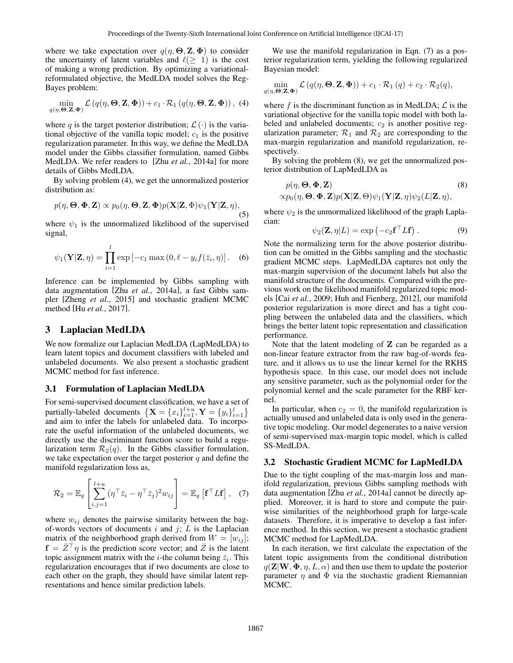where we take expectation over  $q(\eta, \Theta, \mathbf{Z}, \Phi)$  to consider the uncertainty of latent variables and  $\ell(\geq 1)$  is the cost of making a wrong prediction. By optimizing a variationalreformulated objective, the MedLDA model solves the Reg-Bayes problem:

$$
\min_{q(\eta,\Theta,\mathbf{Z},\mathbf{\Phi})} \mathcal{L}\left(q(\eta,\Theta,\mathbf{Z},\mathbf{\Phi})\right) + c_1 \cdot \mathcal{R}_1\left(q(\eta,\Theta,\mathbf{Z},\mathbf{\Phi})\right),\tag{4}
$$

where q is the target posterior distribution;  $\mathcal{L}(\cdot)$  is the variational objective of the vanilla topic model;  $c_1$  is the positive regularization parameter. In this way, we define the MedLDA model under the Gibbs classifier formulation, named Gibbs MedLDA. We refer readers to [Zhu *et al.*, 2014a] for more details of Gibbs MedLDA.

By solving problem (4), we get the unnormalized posterior distribution as:

$$
p(\eta, \Theta, \Phi, \mathbf{Z}) \propto p_0(\eta, \Theta, \mathbf{Z}, \Phi) p(\mathbf{X}|\mathbf{Z}, \Phi) \psi_1(\mathbf{Y}|\mathbf{Z}, \eta),
$$
\n(5)

where  $\psi_1$  is the unnormalized likelihood of the supervised signal,

$$
\psi_1(\mathbf{Y}|\mathbf{Z}, \eta) = \prod_{i=1}^l \exp\left[-c_1 \max\left(0, \ell - y_i f(\bar{z}_i, \eta)\right)\right].
$$
 (6)

Inference can be implemented by Gibbs sampling with data augmentation [Zhu *et al.*, 2014a], a fast Gibbs sampler [Zheng *et al.*, 2015] and stochastic gradient MCMC method [Hu *et al.*, 2017].

# 3 Laplacian MedLDA

We now formalize our Laplacian MedLDA (LapMedLDA) to learn latent topics and document classifiers with labeled and unlabeled documents. We also present a stochastic gradient MCMC method for fast inference.

#### 3.1 Formulation of Laplacian MedLDA

For semi-supervised document classification, we have a set of partially-labeled documents  $\left\{ \mathbf{X} = \{x_i\}_{i=1}^{l+u}, \mathbf{Y} = \{y_i\}_{i=1}^{l}\right\}$ and aim to infer the labels for unlabeled data. To incorporate the useful information of the unlabeled documents, we directly use the discriminant function score to build a regularization term  $\mathcal{R}_2(q)$ . In the Gibbs classifier formulation, we take expectation over the target posterior  $q$  and define the manifold regularization loss as,

$$
\mathcal{R}_2 = \mathbb{E}_q \left[ \sum_{i,j=1}^{l+u} (\eta^\top \bar{z}_i - \eta^\top \bar{z}_j)^2 w_{ij} \right] = \mathbb{E}_q \left[ \mathbf{f}^\top L \mathbf{f} \right], \quad (7)
$$

where  $w_{ij}$  denotes the pairwise similarity between the bagof-words vectors of documents  $i$  and  $j$ ;  $L$  is the Laplacian matrix of the neighborhood graph derived from  $W = [w_{ij}]$ ;  $f = \overline{Z}^{\top} \eta$  is the prediction score vector; and  $\overline{Z}$  is the latent topic assignment matrix with the *i*-the column being  $\overline{z}_i$ . This regularization encourages that if two documents are close to each other on the graph, they should have similar latent representations and hence similar prediction labels.

We use the manifold regularization in Eqn. (7) as a posterior regularization term, yielding the following regularized Bayesian model:

$$
\min_{q(\eta,\mathbf{\Theta,Z},\mathbf{\Phi})} \mathcal{L}(q(\eta,\mathbf{\Theta,Z},\mathbf{\Phi})) + c_1 \cdot \mathcal{R}_1(q) + c_2 \cdot \mathcal{R}_2(q),
$$

where f is the discriminant function as in MedLDA;  $\mathcal L$  is the variational objective for the vanilla topic model with both labeled and unlabeled documents;  $c_2$  is another positive regularization parameter;  $\mathcal{R}_1$  and  $\mathcal{R}_2$  are corresponding to the max-margin regularization and manifold regularization, respectively.

By solving the problem (8), we get the unnormalized posterior distribution of LapMedLDA as

$$
p(\eta, \Theta, \Phi, \mathbf{Z})
$$
  
 
$$
\propto p_0(\eta, \Theta, \Phi, \mathbf{Z}) p(\mathbf{X}|\mathbf{Z}, \Theta) \psi_1(\mathbf{Y}|\mathbf{Z}, \eta) \psi_2(L|\mathbf{Z}, \eta),
$$
 (8)

where  $\psi_2$  is the unmormalized likelihood of the graph Laplacian:

$$
\psi_2(\mathbf{Z}, \eta | L) = \exp(-c_2 \mathbf{f}^\top L \mathbf{f}). \tag{9}
$$

Note the normalizing term for the above posterior distribution can be omitted in the Gibbs sampling and the stochastic gradient MCMC steps. LapMedLDA captures not only the max-margin supervision of the document labels but also the manifold structure of the documents. Compared with the previous work on the likelihood manifold regularized topic models [Cai *et al.*, 2009; Huh and Fienberg, 2012], our manifold posterior regularization is more direct and has a tight coupling between the unlabeled data and the classifiers, which brings the better latent topic representation and classification performance.

Note that the latent modeling of  $Z$  can be regarded as a non-linear feature extractor from the raw bag-of-words feature, and it allows us to use the linear kernel for the RKHS hypothesis space. In this case, our model does not include any sensitive parameter, such as the polynomial order for the polynomial kernel and the scale parameter for the RBF kernel.

In particular, when  $c_2 = 0$ , the manifold regularization is actually unused and unlabeled data is only used in the generative topic modeling. Our model degenerates to a naive version of semi-supervised max-margin topic model, which is called SS-MedLDA.

#### 3.2 Stochastic Gradient MCMC for LapMedLDA

Due to the tight coupling of the max-margin loss and manifold regularization, previous Gibbs sampling methods with data augmentation [Zhu *et al.*, 2014a] cannot be directly applied. Moreover, it is hard to store and compute the pairwise similarities of the neighborhood graph for large-scale datasets. Therefore, it is imperative to develop a fast inference method. In this section, we present a stochastic gradient MCMC method for LapMedLDA.

In each iteration, we first calculate the expectation of the latent topic assignments from the conditional distribution  $q(\mathbf{Z}|\mathbf{W}, \mathbf{\Phi}, \eta, L, \alpha)$  and then use them to update the posterior parameter  $\eta$  and  $\Phi$  via the stochastic gradient Riemannian MCMC.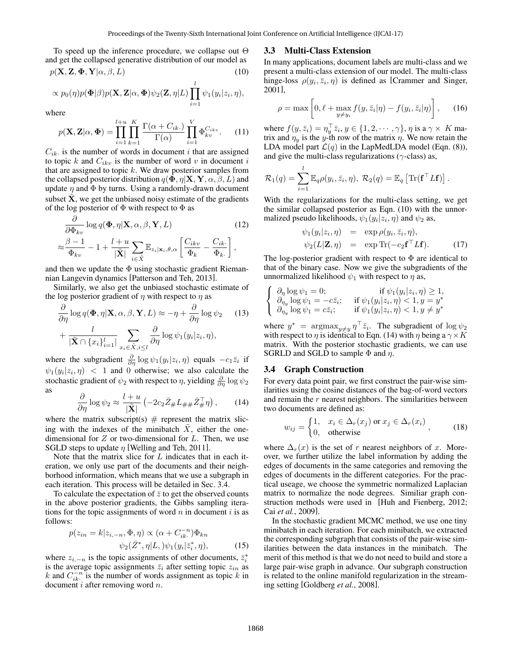To speed up the inference procedure, we collapse out Θ and get the collapsed generative distribution of our model as

$$
p(\mathbf{X}, \mathbf{Z}, \mathbf{\Phi}, \mathbf{Y} | \alpha, \beta, L) \tag{10}
$$

$$
\propto p_0(\eta) p(\mathbf{\Phi}|\beta) p(\mathbf{X}, \mathbf{Z}|\alpha, \mathbf{\Phi}) \psi_2(\mathbf{Z}, \eta|L) \prod_{i=1}^l \psi_1(y_i|z_i, \eta),
$$

where

$$
p(\mathbf{X}, \mathbf{Z} | \alpha, \boldsymbol{\Phi}) = \prod_{i=1}^{l+u} \prod_{k=1}^{K} \frac{\Gamma(\alpha + C_{ik.})}{\Gamma(\alpha)} \prod_{i=1}^{V} \Phi_{kv}^{C_{ikv}}.
$$
 (11)

 $C_{ik}$  is the number of words in document i that are assigned to topic  $k$  and  $C_{ikv}$  is the number of word  $v$  in document  $i$ that are assigned to topic  $k$ . We draw posterior samples from the collapsed posterior distribution  $q(\mathbf{\Phi}, \eta | \mathbf{X}, \mathbf{Y}, \alpha, \beta, L)$  and update  $\eta$  and  $\Phi$  by turns. Using a randomly-drawn document subset  $X$ , we get the unbiased noisy estimate of the gradients of the log posterior of  $\Phi$  with respect to  $\Phi$  as

$$
\frac{\partial}{\partial \Phi_{kv}} \log q(\Phi, \eta | \mathbf{X}, \alpha, \beta, \mathbf{Y}, L)
$$
\n
$$
\approx \frac{\beta - 1}{\Phi_{kv}} - 1 + \frac{l + u}{|\tilde{\mathbf{X}}|} \sum_{i \in \tilde{\mathbf{X}}} \mathbb{E}_{z_i | \mathbf{x}_i, \theta, \alpha} \left[ \frac{C_{ikv}}{\Phi_k} - \frac{C_{ik}}{\Phi_k} \right],
$$
\n(12)

and then we update the  $\Phi$  using stochastic gradient Riemannian Langevin dynamics [Patterson and Teh, 2013].

Similarly, we also get the unbiased stochastic estimate of the log posterior gradient of  $\eta$  with respect to  $\eta$  as

$$
\frac{\partial}{\partial \eta} \log q(\mathbf{\Phi}, \eta | \mathbf{X}, \alpha, \beta, \mathbf{Y}, L) \approx -\eta + \frac{\partial}{\partial \eta} \log \psi_2 \quad (13)
$$

$$
+ \frac{l}{|\tilde{\mathbf{X}} \cap \{x_i\}_{i=1}^l|} \sum_{x_i \in \tilde{X}, i \le l} \frac{\partial}{\partial \eta} \log \psi_1(y_i | z_i, \eta),
$$

where the subgradient  $\frac{\partial}{\partial \eta} \log \psi_1(y_i|z_i, \eta)$  equals  $-c_1\overline{z_i}$  if  $\psi_1(y_i|z_i, \eta)$  < 1 and 0 otherwise; we also calculate the stochastic gradient of  $\psi_2$  with respect to  $\eta$ , yielding  $\frac{\partial}{\partial \eta} \log \psi_2$ as

$$
\frac{\partial}{\partial \eta} \log \psi_2 \approx \frac{l+u}{|\tilde{\mathbf{X}}|} \left( -2c_2 \bar{Z}_{\#} L_{\# \#} \bar{Z}_{\#}^{\top} \eta \right), \qquad (14)
$$

where the matrix subscript(s)  $#$  represent the matrix slicing with the indexes of the minibatch  $\overline{X}$ , either the onedimensional for  $Z$  or two-dimensional for  $L$ . Then, we use SGLD steps to update  $\eta$  [Welling and Teh, 2011].

Note that the matrix slice for L indicates that in each iteration, we only use part of the documents and their neighborhood information, which means that we use a subgraph in each iteration. This process will be detailed in Sec. 3.4.

To calculate the expectation of  $\bar{z}$  to get the observed counts in the above posterior gradients, the Gibbs sampling iterations for the topic assignments of word  $n$  in document i is as follows:

$$
p(z_{in} = k|z_{i,-n}, \Phi, \eta) \propto (\alpha + C_{ik}^{-n})\Phi_{kn}
$$

$$
\psi_2(\bar{Z}^*, \eta | L, )\psi_1(y_i | \bar{z}_i^*, \eta), \tag{15}
$$

where  $z_{i,-n}$  is the topic assignments of other documents,  $\bar{z}_i^*$ is the average topic assignments  $\bar{z}_i$  after setting topic  $z_{in}$  as k and  $C_{ik}^{-n}$  is the number of words assignment as topic k in document  $i$  after removing word  $n$ .

#### 3.3 Multi-Class Extension

In many applications, document labels are multi-class and we present a multi-class extension of our model. The multi-class hinge-loss  $\rho(y_i, \bar{z}_i, \eta)$  is defined as [Crammer and Singer, 2001],

$$
\rho = \max\left[0, \ell + \max_{y \neq y_i} f(y, \bar{z}_i | \eta) - f(y_i, \bar{z}_i | \eta)\right], \quad (16)
$$

where  $f(y, \bar{z}_i) = \eta_y^{\top} \bar{z}_i, y \in \{1, 2, \cdots, \gamma\}, \eta$  is a  $\gamma \times K$  matrix and  $\eta_y$  is the y-th row of the matrix  $\eta$ . We now retain the LDA model part  $\mathcal{L}(q)$  in the LapMedLDA model (Eqn. (8)), and give the multi-class regularizations ( $\gamma$ -class) as,

$$
\mathcal{R}_1(q) = \sum_{i=1}^l \mathbb{E}_q \rho(y_i, \bar{z}_i, \eta), \ \mathcal{R}_2(q) = \mathbb{E}_q \left[ \text{Tr}(\mathbf{f}^\top L \mathbf{f}) \right].
$$

With the regularizations for the multi-class setting, we get the similar collapsed posterior as Eqn. (10) with the unnormalized pseudo likelihoods,  $\psi_1(y_i|z_i, \eta)$  and  $\psi_2$  as,

$$
\psi_1(y_i|z_i, \eta) = \exp \rho(y_i, \bar{z}_i, \eta),
$$
  
\n
$$
\psi_2(L|\mathbf{Z}, \eta) = \exp \text{Tr}(-c_2 \mathbf{f}^\top L \mathbf{f}).
$$
 (17)

The log-posterior gradient with respect to  $\Phi$  are identical to that of the binary case. Now we give the subgradients of the unnormalized likelihood  $\psi_1$  with respect to  $\eta$  as,

$$
\begin{cases}\n\partial_{\eta}\log\psi_{1}=0; & \text{if } \psi_{1}(y_{i}|z_{i},\eta) \geq 1, \\
\partial_{\eta_{y}}\log\psi_{1}=-c\overline{z}_{i}; & \text{if } \psi_{1}(y_{i}|z_{i},\eta) < 1, y = y^{*} \\
\partial_{\eta_{y}}\log\psi_{1}=c\overline{z}_{i}; & \text{if } \psi_{1}(y_{i}|z_{i},\eta) < 1, y \neq y^{*}\n\end{cases}
$$

where  $y^* = \argmax_{y \neq y} \eta^\top \bar{z}_i$ . The subgradient of  $\log \psi_2$ with respect to  $\eta$  is identical to Eqn. (14) with  $\eta$  being a  $\gamma \times K$ matrix. With the posterior stochastic gradients, we can use SGRLD and SGLD to sample  $\Phi$  and  $\eta$ .

#### 3.4 Graph Construction

For every data point pair, we first construct the pair-wise similarities using the cosine distances of the bag-of-word vectors and remain the  $r$  nearest neighbors. The similarities between two documents are defined as:

$$
w_{ij} = \begin{cases} 1, & x_i \in \Delta_r(x_j) \text{ or } x_j \in \Delta_r(x_i) \\ 0, & \text{otherwise} \end{cases}
$$
 (18)

where  $\Delta_r(x)$  is the set of r nearest neighbors of x. Moreover, we further utilize the label information by adding the edges of documents in the same categories and removing the edges of documents in the different categories. For the practical useage, we choose the symmetric normalized Laplacian matrix to normalize the node degrees. Similiar graph construction methods were used in [Huh and Fienberg, 2012; Cai *et al.*, 2009].

In the stochastic gradient MCMC method, we use one tiny minibatch in each iteration. For each minibatch, we extracted the corresponding subgraph that consists of the pair-wise similarities between the data instances in the minibatch. The merit of this method is that we do not need to build and store a large pair-wise graph in advance. Our subgraph construction is related to the online manifold regularization in the streaming setting [Goldberg *et al.*, 2008].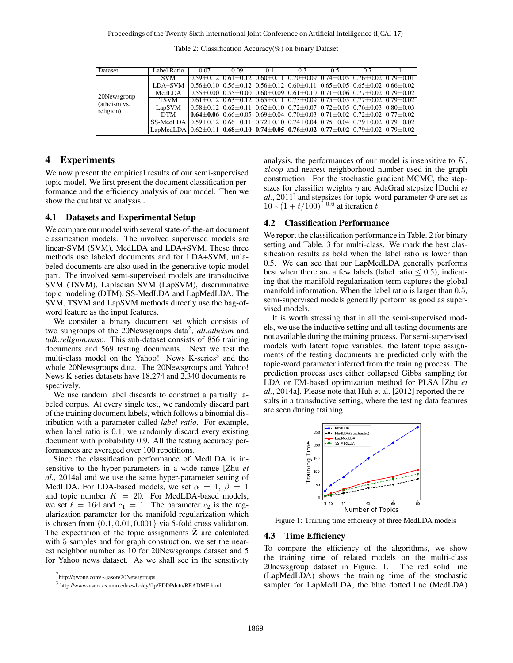Table 2: Classification Accuracy(%) on binary Dataset

| Dataset                                                                                                 | Label Ratio                                                                                                               | 0.07                                                                                                                                     | 0.09 | 0.1 | 0.3                                                                                 | 0.5 | 0.7 |  |
|---------------------------------------------------------------------------------------------------------|---------------------------------------------------------------------------------------------------------------------------|------------------------------------------------------------------------------------------------------------------------------------------|------|-----|-------------------------------------------------------------------------------------|-----|-----|--|
| <b>SVM</b><br>MedLDA<br>20Newsgroup<br><b>TSVM</b><br>(atheism vs.<br>LapSVM<br>religion)<br><b>DTM</b> |                                                                                                                           | $(0.59 \pm 0.12, 0.61 \pm 0.12, 0.60 \pm 0.11, 0.70 \pm 0.09, 0.74 \pm 0.05, 0.76 \pm 0.02, 0.79 \pm 0.01)$                              |      |     |                                                                                     |     |     |  |
|                                                                                                         | LDA+SVM                                                                                                                   | $(0.56 \pm 0.10 \quad 0.56 \pm 0.12 \quad 0.56 \pm 0.12 \quad 0.60 \pm 0.11 \quad 0.65 \pm 0.05 \quad 0.65 \pm 0.02 \quad 0.66 \pm 0.02$ |      |     |                                                                                     |     |     |  |
|                                                                                                         |                                                                                                                           | $(0.55 \pm 0.00 \quad 0.55 \pm 0.00 \quad 0.60 \pm 0.09 \quad 0.61 \pm 0.10 \quad 0.71 \pm 0.06 \quad 0.77 \pm 0.02 \quad 0.79 \pm 0.02$ |      |     |                                                                                     |     |     |  |
|                                                                                                         |                                                                                                                           | $(0.61 \pm 0.12, 0.63 \pm 0.12, 0.65 \pm 0.11, 0.73 \pm 0.09, 0.75 \pm 0.05, 0.77 \pm 0.02, 0.79 \pm 0.02)$                              |      |     |                                                                                     |     |     |  |
|                                                                                                         |                                                                                                                           | $(0.58 \pm 0.12, 0.62 \pm 0.11, 0.62 \pm 0.10, 0.72 \pm 0.07, 0.72 \pm 0.05, 0.76 \pm 0.03, 0.80 \pm 0.03)$                              |      |     |                                                                                     |     |     |  |
|                                                                                                         |                                                                                                                           |                                                                                                                                          |      |     | 0.64 ± 0.06 0.66 ± 0.05 0.69 ± 0.04 0.70 ± 0.03 0.71 ± 0.02 0.72 ± 0.02 0.77 ± 0.02 |     |     |  |
|                                                                                                         | SS-MedLDA $0.59\pm0.12$ $0.66\pm0.11$ $0.72\pm0.10$ $0.74\pm0.04$ $0.75\pm0.04$ $0.79\pm0.02$ $0.79\pm0.02$               |                                                                                                                                          |      |     |                                                                                     |     |     |  |
|                                                                                                         | LapMedLDA $0.62 \pm 0.11$ 0.68 $\pm$ 0.10 0.74 $\pm$ 0.05 0.76 $\pm$ 0.02 0.77 $\pm$ 0.02 0.79 $\pm$ 0.02 0.79 $\pm$ 0.02 |                                                                                                                                          |      |     |                                                                                     |     |     |  |

# 4 Experiments

We now present the empirical results of our semi-supervised topic model. We first present the document classification performance and the efficiency analysis of our model. Then we show the qualitative analysis .

#### 4.1 Datasets and Experimental Setup

We compare our model with several state-of-the-art document classification models. The involved supervised models are linear-SVM (SVM), MedLDA and LDA+SVM. These three methods use labeled documents and for LDA+SVM, unlabeled documents are also used in the generative topic model part. The involved semi-supervised models are transductive SVM (TSVM), Laplacian SVM (LapSVM), discriminative topic modeling (DTM), SS-MedLDA and LapMedLDA. The SVM, TSVM and LapSVM methods directly use the bag-ofword feature as the input features.

We consider a binary document set which consists of two subgroups of the 20Newsgroups data<sup>2</sup>, alt.atheism and *talk.religion.misc*. This sub-dataset consists of 856 training documents and 569 testing documents. Next we test the multi-class model on the Yahoo! News K-series<sup>3</sup> and the whole 20Newsgroups data. The 20Newsgroups and Yahoo! News K-series datasets have 18,274 and 2,340 documents respectively.

We use random label discards to construct a partially labeled corpus. At every single test, we randomly discard part of the training document labels, which follows a binomial distribution with a parameter called *label ratio*. For example, when label ratio is 0.1, we randomly discard every existing document with probability 0.9. All the testing accuracy performances are averaged over 100 repetitions.

Since the classification performance of MedLDA is insensitive to the hyper-parameters in a wide range [Zhu *et al.*, 2014a] and we use the same hyper-parameter setting of MedLDA. For LDA-based models, we set  $\alpha = 1, \beta = 1$ and topic number  $K = 20$ . For MedLDA-based models, we set  $\ell = 164$  and  $c_1 = 1$ . The parameter  $c_2$  is the regularization parameter for the manifold regularization which is chosen from  $\{0.1, 0.01, 0.001\}$  via 5-fold cross validation. The expectation of the topic assignments  $Z$  are calculated with 5 samples and for graph construction, we set the nearest neighbor number as 10 for 20Newsgroups dataset and 5 for Yahoo news dataset. As we shall see in the sensitivity analysis, the performances of our model is insensitive to K, zloop and nearest neighborhood number used in the graph construction. For the stochastic gradient MCMC, the stepsizes for classifier weights η are AdaGrad stepsize [Duchi *et al.*, 2011] and stepsizes for topic-word parameter Φ are set as  $10 * (1 + t/100)^{-0.6}$  at iteration t.

#### 4.2 Classification Performance

We report the classification performance in Table. 2 for binary setting and Table. 3 for multi-class. We mark the best classification results as bold when the label ratio is lower than 0.5. We can see that our LapMedLDA generally performs best when there are a few labels (label ratio  $\leq$  0.5), indicating that the manifold regularization term captures the global manifold information. When the label ratio is larger than 0.5, semi-supervised models generally perform as good as supervised models.

It is worth stressing that in all the semi-supervised models, we use the inductive setting and all testing documents are not available during the training process. For semi-supervised models with latent topic variables, the latent topic assignments of the testing documents are predicted only with the topic-word parameter inferred from the training process. The prediction process uses either collapsed Gibbs sampling for LDA or EM-based optimization method for PLSA [Zhu *et al.*, 2014a]. Please note that Huh et al. [2012] reported the results in a transductive setting, where the testing data features are seen during training.



Figure 1: Training time efficiency of three MedLDA models

#### 4.3 Time Efficiency

To compare the efficiency of the algorithms, we show the training time of related models on the multi-class 20newsgroup dataset in Figure. 1. The red solid line (LapMedLDA) shows the training time of the stochastic sampler for LapMedLDA, the blue dotted line (MedLDA)

<sup>2</sup> http://qwone.com/∼jason/20Newsgroups

<sup>3</sup> http://www-users.cs.umn.edu/∼boley/ftp/PDDPdata/README.html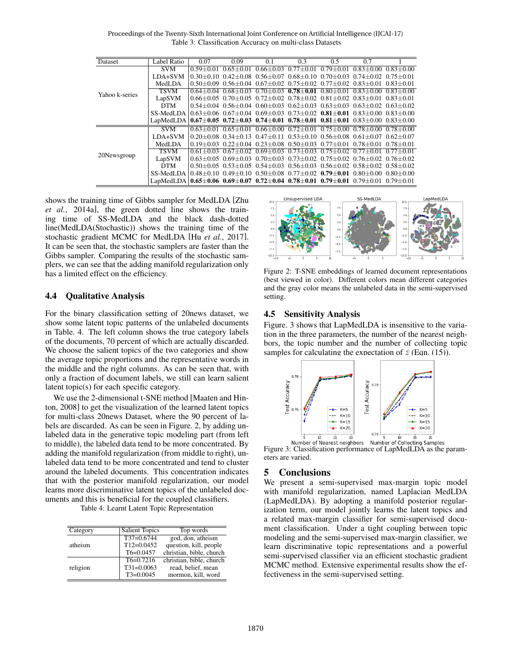Table 3: Classification Accuracy on multi-class Datasets Proceedings of the Twenty-Sixth International Joint Conference on Artificial Intelligence (IJCAI-17)

| Dataset        | Label Ratio                                                                                                                                             | 0.07          | 0.09          | 0.1 | 0.3 | 0.5 | 0.7                                                                                                             |  |
|----------------|---------------------------------------------------------------------------------------------------------------------------------------------------------|---------------|---------------|-----|-----|-----|-----------------------------------------------------------------------------------------------------------------|--|
| Yahoo k-series | <b>SVM</b>                                                                                                                                              | $0.59 + 0.01$ | $0.65 + 0.01$ |     |     |     | $0.66 + 0.03$ $0.77 + 0.01$ $0.79 + 0.01$ $0.83 + 0.00$ $0.83 + 0.00$                                           |  |
|                | LDA+SVM                                                                                                                                                 |               |               |     |     |     | $0.30+0.10$ $0.42+0.08$ $0.56+0.07$ $0.68+0.10$ $0.70+0.03$ $0.74+0.02$ $0.75+0.01$                             |  |
|                | MedLDA                                                                                                                                                  |               |               |     |     |     | $0.50+0.09$ $0.56+0.04$ $0.67+0.02$ $0.75+0.02$ $0.77+0.02$ $0.83+0.01$ $0.83+0.01$                             |  |
|                | <b>TSVM</b>                                                                                                                                             |               |               |     |     |     | $0.64 + 0.04$ $0.68 + 0.03$ $0.70 + 0.03$ $0.78 + 0.01$ $0.80 + 0.01$ $0.83 + 0.00$ $0.83 + 0.00$               |  |
|                | LapSVM                                                                                                                                                  |               |               |     |     |     | $0.66 \pm 0.05$ $0.70 \pm 0.05$ $0.72 \pm 0.02$ $0.78 \pm 0.02$ $0.81 \pm 0.02$ $0.83 \pm 0.01$ $0.83 \pm 0.01$ |  |
|                | <b>DTM</b>                                                                                                                                              |               |               |     |     |     | $0.54 \pm 0.04$ $0.56 \pm 0.04$ $0.60 \pm 0.03$ $0.62 \pm 0.03$ $0.63 \pm 0.03$ $0.63 \pm 0.02$ $0.63 \pm 0.02$ |  |
|                | SS-MedLDA $(0.63+0.06, 0.67+0.04, 0.69+0.03, 0.73+0.02, 0.81+0.01, 0.83+0.00, 0.83+0.00)$                                                               |               |               |     |     |     |                                                                                                                 |  |
|                | LapMedLDA                                                                                                                                               |               |               |     |     |     | $0.67 \pm 0.05$ $0.72 \pm 0.03$ $0.74 \pm 0.01$ $0.78 \pm 0.01$ $0.81 \pm 0.01$ $0.83 \pm 0.00$ $0.83 \pm 0.00$ |  |
|                | SVM                                                                                                                                                     |               |               |     |     |     | $0.63 + 0.01$ $0.65 + 0.01$ $0.66 + 0.00$ $0.72 + 0.01$ $0.75 + 0.00$ $0.78 + 0.00$ $0.78 + 0.00$               |  |
|                | LDA+SVM                                                                                                                                                 |               |               |     |     |     | $0.20+0.08$ $0.34+0.13$ $0.47+0.11$ $0.53+0.10$ $0.56+0.08$ $0.61+0.07$ $0.62+0.07$                             |  |
|                | MedLDA                                                                                                                                                  |               |               |     |     |     | $0.19 \pm 0.03$ $0.22 \pm 0.04$ $0.23 \pm 0.08$ $0.50 \pm 0.03$ $0.77 \pm 0.01$ $0.78 \pm 0.01$ $0.78 \pm 0.01$ |  |
| 20Newsgroup    | <b>TSVM</b>                                                                                                                                             |               |               |     |     |     | $0.61 + 0.03$ $0.67 + 0.02$ $0.69 + 0.03$ $0.73 + 0.03$ $0.75 + 0.02$ $0.77 + 0.01$ $0.77 + 0.01$               |  |
|                | LapSVM                                                                                                                                                  |               |               |     |     |     | $0.63 + 0.05$ $0.69 + 0.03$ $0.70 + 0.03$ $0.73 + 0.02$ $0.75 + 0.02$ $0.76 + 0.02$ $0.76 + 0.02$               |  |
|                | <b>DTM</b>                                                                                                                                              |               |               |     |     |     | $0.50\pm0.05$ $0.53\pm0.05$ $0.54\pm0.03$ $0.56\pm0.03$ $0.56\pm0.02$ $0.58\pm0.02$ $0.58\pm0.02$               |  |
|                | SS-MedLDA $0.48 \pm 0.10$ $0.49 \pm 0.10$ $0.50 \pm 0.08$ $0.77 \pm 0.02$ $0.79 \pm 0.01$ $0.80 \pm 0.00$ $0.80 \pm 0.00$                               |               |               |     |     |     |                                                                                                                 |  |
|                | LapMedLDA $\vert 0.65 \pm 0.06 \vert 0.69 \pm 0.07 \vert 0.72 \pm 0.04 \vert 0.78 \pm 0.01 \vert 0.79 \pm 0.01 \vert 0.79 \pm 0.01 \vert 0.79 \pm 0.01$ |               |               |     |     |     |                                                                                                                 |  |

shows the training time of Gibbs sampler for MedLDA [Zhu *et al.*, 2014a], the green dotted line shows the training time of SS-MedLDA and the black dash-dotted line(MedLDA(Stochastic)) shows the training time of the stochastic gradient MCMC for MedLDA [Hu *et al.*, 2017]. It can be seen that, the stochastic samplers are faster than the Gibbs sampler. Comparing the results of the stochastic samplers, we can see that the adding manifold regularization only has a limited effect on the efficiency.

#### SS-MedLDA LapMedLDA Unsupervised LDA  $7.5$  $7.5$  $\overline{\mathbf{S}}$  $-5.0$  $-7.5$

Figure 2: T-SNE embeddings of learned document representations

(best viewed in color). Different colors mean different categories and the gray color means the unlabeled data in the semi-supervised setting.

# 4.4 Qualitative Analysis

For the binary classification setting of 20news dataset, we show some latent topic patterns of the unlabeled documents in Table. 4. The left column shows the true category labels of the documents, 70 percent of which are actually discarded. We choose the salient topics of the two categories and show the average topic proportions and the representative words in the middle and the right columns. As can be seen that, with only a fraction of document labels, we still can learn salient latent topic(s) for each specific category.

We use the 2-dimensional t-SNE method [Maaten and Hinton, 2008] to get the visualization of the learned latent topics for multi-class 20news Dataset, where the 90 percent of labels are discarded. As can be seen in Figure. 2, by adding unlabeled data in the generative topic modeling part (from left to middle), the labeled data tend to be more concentrated. By adding the manifold regularization (from middle to right), unlabeled data tend to be more concentrated and tend to cluster around the labeled documents. This concentration indicates that with the posterior manifold regularization, our model learns more discriminative latent topics of the unlabeled documents and this is beneficial for the coupled classifiers.

Table 4: Learnt Latent Topic Representation

| Category | <b>Salient Topics</b> | Top words                |
|----------|-----------------------|--------------------------|
| atheism  | $T37=0.6744$          | god, don, atheism        |
|          | $T12=0.0452$          | question, kill, people   |
|          | $T6=0.0457$           | christian, bible, church |
| religion | $T6=0.7216$           | christian, bible, church |
|          | $T31=0.0063$          | read, belief, mean       |
|          | $T3=0.0045$           | mormon, kill, word       |

# 4.5 Sensitivity Analysis

Figure. 3 shows that LapMedLDA is insensitive to the variation in the three parameters, the number of the nearest neighbors, the topic number and the number of collecting topic samples for calculating the expectation of  $\bar{z}$  (Eqn. (15)).



Figure 3: Classification performance of LapMedLDA as the parameters are varied.

# 5 Conclusions

We present a semi-supervised max-margin topic model with manifold regularization, named Laplacian MedLDA (LapMedLDA). By adopting a manifold posterior regularization term, our model jointly learns the latent topics and a related max-margin classifier for semi-supervised document classification. Under a tight coupling between topic modeling and the semi-supervised max-margin classifier, we learn discriminative topic representations and a powerful semi-supervised classifier via an efficient stochastic gradient MCMC method. Extensive experimental results show the effectiveness in the semi-supervised setting.